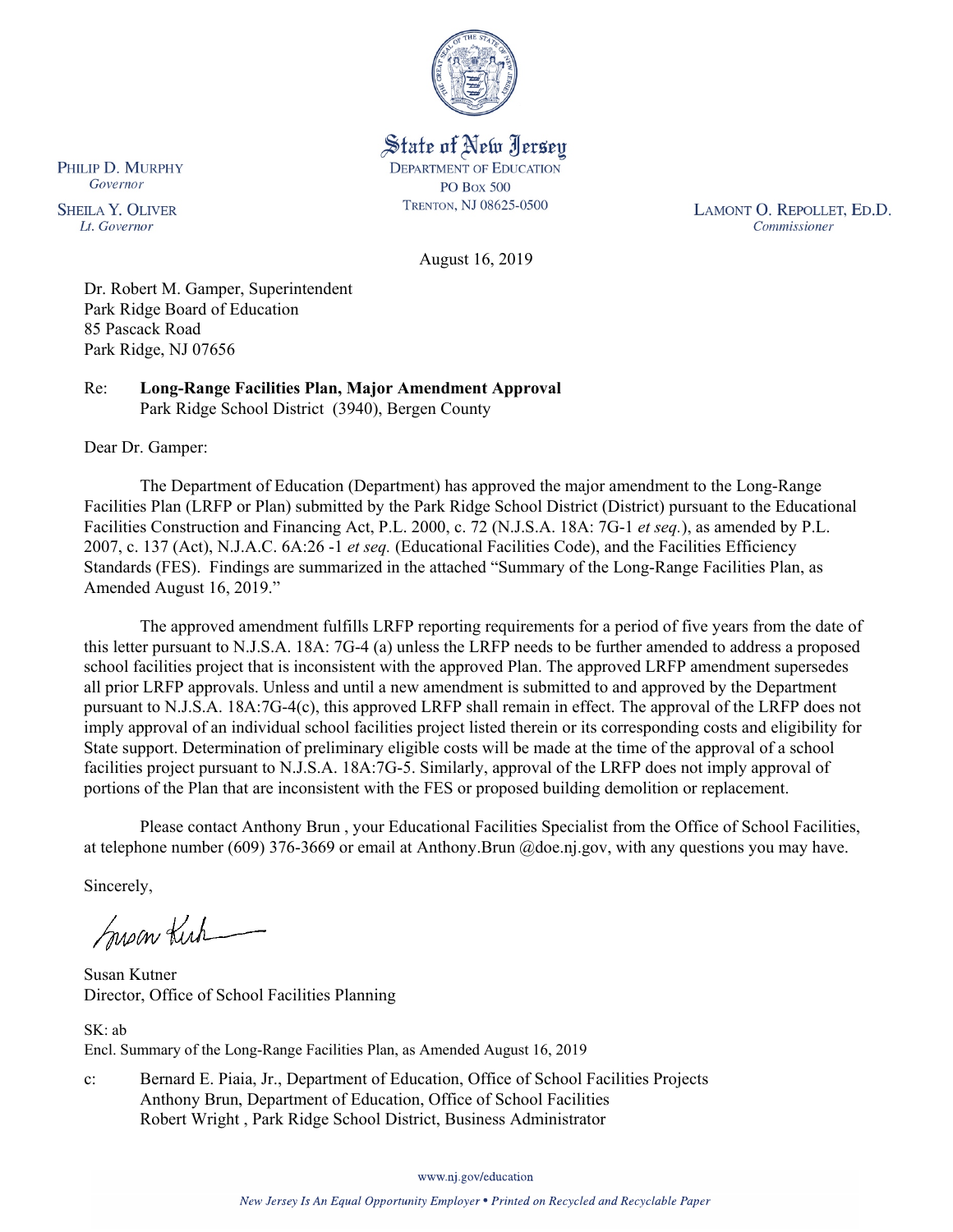

State of New Jersey **DEPARTMENT OF EDUCATION PO Box 500** TRENTON, NJ 08625-0500

LAMONT O. REPOLLET, ED.D. Commissioner

August 16, 2019

Dr. Robert M. Gamper, Superintendent Park Ridge Board of Education 85 Pascack Road Park Ridge, NJ 07656

Re: **Long-Range Facilities Plan, Major Amendment Approval** Park Ridge School District (3940), Bergen County

Dear Dr. Gamper:

The Department of Education (Department) has approved the major amendment to the Long-Range Facilities Plan (LRFP or Plan) submitted by the Park Ridge School District (District) pursuant to the Educational Facilities Construction and Financing Act, P.L. 2000, c. 72 (N.J.S.A. 18A: 7G-1 *et seq.*), as amended by P.L. 2007, c. 137 (Act), N.J.A.C. 6A:26 -1 *et seq.* (Educational Facilities Code), and the Facilities Efficiency Standards (FES). Findings are summarized in the attached "Summary of the Long-Range Facilities Plan, as Amended August 16, 2019."

The approved amendment fulfills LRFP reporting requirements for a period of five years from the date of this letter pursuant to N.J.S.A. 18A: 7G-4 (a) unless the LRFP needs to be further amended to address a proposed school facilities project that is inconsistent with the approved Plan. The approved LRFP amendment supersedes all prior LRFP approvals. Unless and until a new amendment is submitted to and approved by the Department pursuant to N.J.S.A. 18A:7G-4(c), this approved LRFP shall remain in effect. The approval of the LRFP does not imply approval of an individual school facilities project listed therein or its corresponding costs and eligibility for State support. Determination of preliminary eligible costs will be made at the time of the approval of a school facilities project pursuant to N.J.S.A. 18A:7G-5. Similarly, approval of the LRFP does not imply approval of portions of the Plan that are inconsistent with the FES or proposed building demolition or replacement.

Please contact Anthony Brun , your Educational Facilities Specialist from the Office of School Facilities, at telephone number (609) 376-3669 or email at Anthony.Brun @doe.nj.gov, with any questions you may have.

Sincerely,

Susan Kich

Susan Kutner Director, Office of School Facilities Planning

SK: ab Encl. Summary of the Long-Range Facilities Plan, as Amended August 16, 2019

c: Bernard E. Piaia, Jr., Department of Education, Office of School Facilities Projects Anthony Brun, Department of Education, Office of School Facilities Robert Wright , Park Ridge School District, Business Administrator

www.nj.gov/education

PHILIP D. MURPHY Governor

**SHEILA Y. OLIVER** Lt. Governor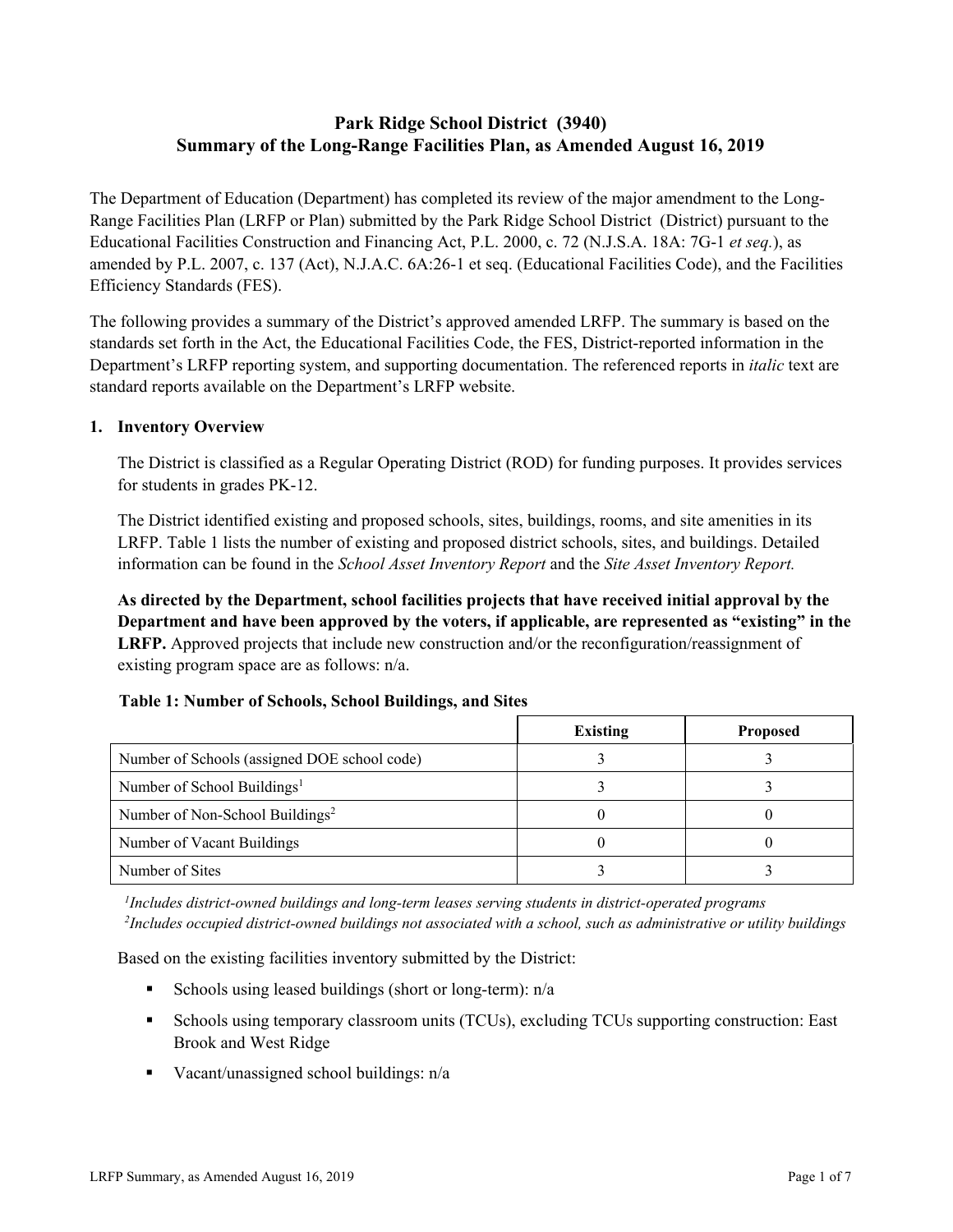# **Park Ridge School District (3940) Summary of the Long-Range Facilities Plan, as Amended August 16, 2019**

The Department of Education (Department) has completed its review of the major amendment to the Long-Range Facilities Plan (LRFP or Plan) submitted by the Park Ridge School District (District) pursuant to the Educational Facilities Construction and Financing Act, P.L. 2000, c. 72 (N.J.S.A. 18A: 7G-1 *et seq.*), as amended by P.L. 2007, c. 137 (Act), N.J.A.C. 6A:26-1 et seq. (Educational Facilities Code), and the Facilities Efficiency Standards (FES).

The following provides a summary of the District's approved amended LRFP. The summary is based on the standards set forth in the Act, the Educational Facilities Code, the FES, District-reported information in the Department's LRFP reporting system, and supporting documentation. The referenced reports in *italic* text are standard reports available on the Department's LRFP website.

### **1. Inventory Overview**

The District is classified as a Regular Operating District (ROD) for funding purposes. It provides services for students in grades PK-12.

The District identified existing and proposed schools, sites, buildings, rooms, and site amenities in its LRFP. Table 1 lists the number of existing and proposed district schools, sites, and buildings. Detailed information can be found in the *School Asset Inventory Report* and the *Site Asset Inventory Report.*

**As directed by the Department, school facilities projects that have received initial approval by the Department and have been approved by the voters, if applicable, are represented as "existing" in the LRFP.** Approved projects that include new construction and/or the reconfiguration/reassignment of existing program space are as follows: n/a.

# **Table 1: Number of Schools, School Buildings, and Sites**

|                                              | <b>Existing</b> | <b>Proposed</b> |
|----------------------------------------------|-----------------|-----------------|
| Number of Schools (assigned DOE school code) |                 |                 |
| Number of School Buildings <sup>1</sup>      |                 |                 |
| Number of Non-School Buildings <sup>2</sup>  |                 |                 |
| Number of Vacant Buildings                   |                 |                 |
| Number of Sites                              |                 |                 |

*1 Includes district-owned buildings and long-term leases serving students in district-operated programs 2 Includes occupied district-owned buildings not associated with a school, such as administrative or utility buildings*

Based on the existing facilities inventory submitted by the District:

- Schools using leased buildings (short or long-term):  $n/a$
- Schools using temporary classroom units (TCUs), excluding TCUs supporting construction: East Brook and West Ridge
- Vacant/unassigned school buildings:  $n/a$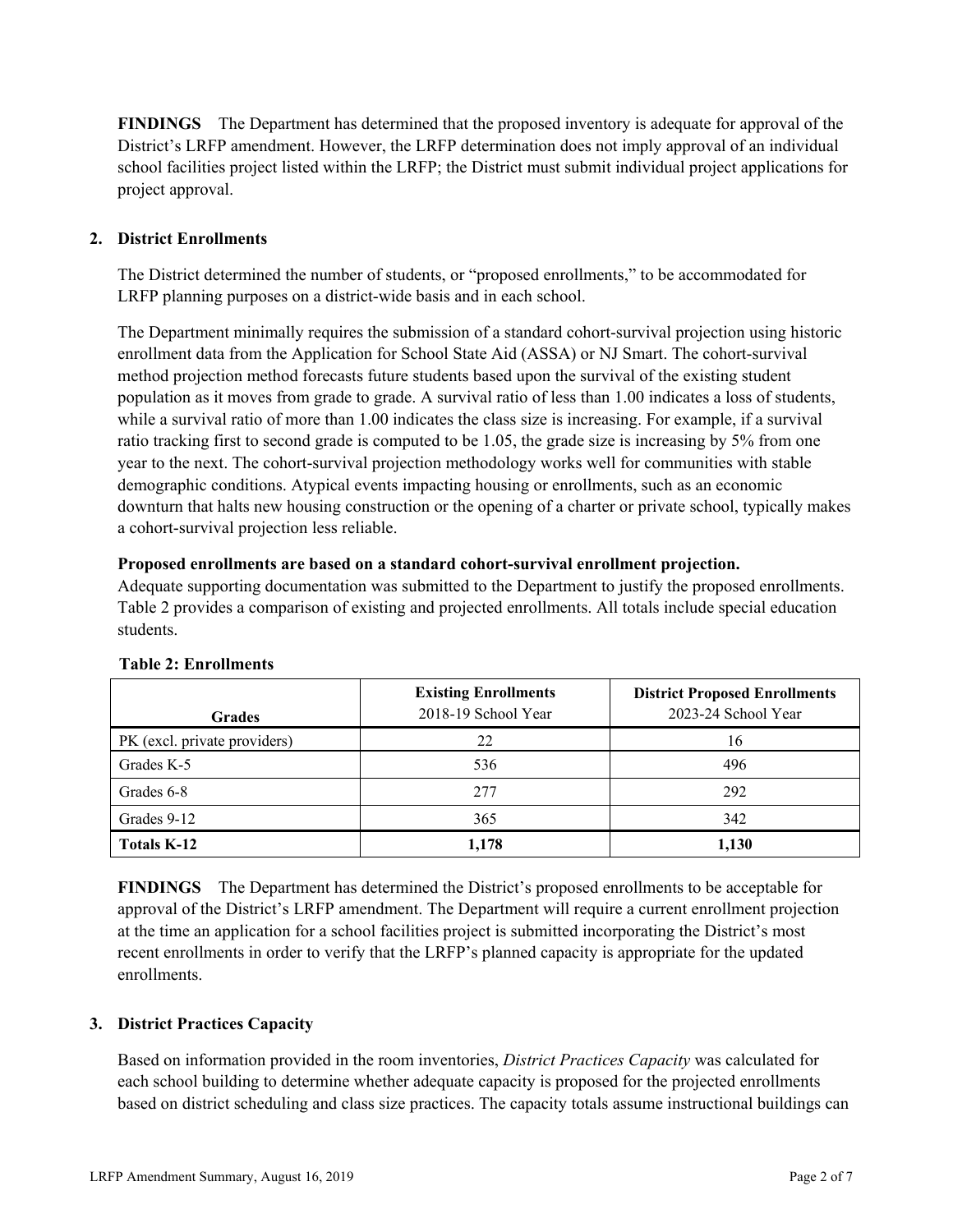**FINDINGS** The Department has determined that the proposed inventory is adequate for approval of the District's LRFP amendment. However, the LRFP determination does not imply approval of an individual school facilities project listed within the LRFP; the District must submit individual project applications for project approval.

# **2. District Enrollments**

The District determined the number of students, or "proposed enrollments," to be accommodated for LRFP planning purposes on a district-wide basis and in each school.

The Department minimally requires the submission of a standard cohort-survival projection using historic enrollment data from the Application for School State Aid (ASSA) or NJ Smart. The cohort-survival method projection method forecasts future students based upon the survival of the existing student population as it moves from grade to grade. A survival ratio of less than 1.00 indicates a loss of students, while a survival ratio of more than 1.00 indicates the class size is increasing. For example, if a survival ratio tracking first to second grade is computed to be 1.05, the grade size is increasing by 5% from one year to the next. The cohort-survival projection methodology works well for communities with stable demographic conditions. Atypical events impacting housing or enrollments, such as an economic downturn that halts new housing construction or the opening of a charter or private school, typically makes a cohort-survival projection less reliable.

### **Proposed enrollments are based on a standard cohort-survival enrollment projection.**

Adequate supporting documentation was submitted to the Department to justify the proposed enrollments. Table 2 provides a comparison of existing and projected enrollments. All totals include special education students.

| <b>Grades</b>                | <b>Existing Enrollments</b><br>2018-19 School Year | <b>District Proposed Enrollments</b><br>2023-24 School Year |
|------------------------------|----------------------------------------------------|-------------------------------------------------------------|
| PK (excl. private providers) | 22                                                 | 16                                                          |
| Grades K-5                   | 536                                                | 496                                                         |
| Grades 6-8                   | 277                                                | 292                                                         |
| Grades 9-12                  | 365                                                | 342                                                         |
| <b>Totals K-12</b>           | 1,178                                              | 1,130                                                       |

### **Table 2: Enrollments**

**FINDINGS** The Department has determined the District's proposed enrollments to be acceptable for approval of the District's LRFP amendment. The Department will require a current enrollment projection at the time an application for a school facilities project is submitted incorporating the District's most recent enrollments in order to verify that the LRFP's planned capacity is appropriate for the updated enrollments.

### **3. District Practices Capacity**

Based on information provided in the room inventories, *District Practices Capacity* was calculated for each school building to determine whether adequate capacity is proposed for the projected enrollments based on district scheduling and class size practices. The capacity totals assume instructional buildings can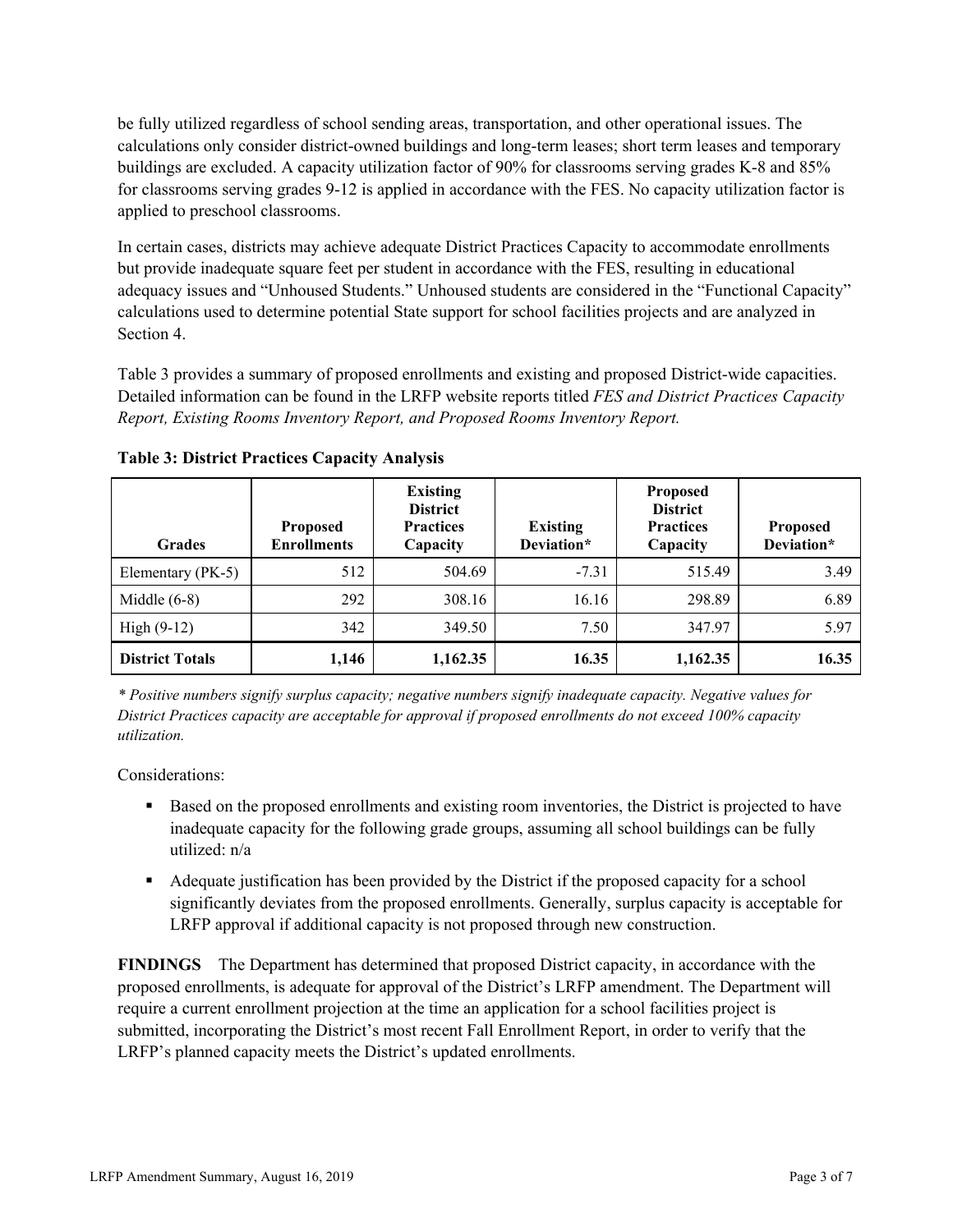be fully utilized regardless of school sending areas, transportation, and other operational issues. The calculations only consider district-owned buildings and long-term leases; short term leases and temporary buildings are excluded. A capacity utilization factor of 90% for classrooms serving grades K-8 and 85% for classrooms serving grades 9-12 is applied in accordance with the FES. No capacity utilization factor is applied to preschool classrooms.

In certain cases, districts may achieve adequate District Practices Capacity to accommodate enrollments but provide inadequate square feet per student in accordance with the FES, resulting in educational adequacy issues and "Unhoused Students." Unhoused students are considered in the "Functional Capacity" calculations used to determine potential State support for school facilities projects and are analyzed in Section 4.

Table 3 provides a summary of proposed enrollments and existing and proposed District-wide capacities. Detailed information can be found in the LRFP website reports titled *FES and District Practices Capacity Report, Existing Rooms Inventory Report, and Proposed Rooms Inventory Report.*

| <b>Grades</b>          | <b>Proposed</b><br><b>Enrollments</b> | <b>Existing</b><br><b>District</b><br><b>Practices</b><br>Capacity | <b>Existing</b><br>Deviation* | <b>Proposed</b><br><b>District</b><br><b>Practices</b><br>Capacity | <b>Proposed</b><br>Deviation* |
|------------------------|---------------------------------------|--------------------------------------------------------------------|-------------------------------|--------------------------------------------------------------------|-------------------------------|
| Elementary (PK-5)      | 512                                   | 504.69                                                             | $-7.31$                       | 515.49                                                             | 3.49                          |
| Middle $(6-8)$         | 292                                   | 308.16                                                             | 16.16                         | 298.89                                                             | 6.89                          |
| High $(9-12)$          | 342                                   | 349.50                                                             | 7.50                          | 347.97                                                             | 5.97                          |
| <b>District Totals</b> | 1,146                                 | 1,162.35                                                           | 16.35                         | 1,162.35                                                           | 16.35                         |

**Table 3: District Practices Capacity Analysis**

*\* Positive numbers signify surplus capacity; negative numbers signify inadequate capacity. Negative values for District Practices capacity are acceptable for approval if proposed enrollments do not exceed 100% capacity utilization.*

Considerations:

- Based on the proposed enrollments and existing room inventories, the District is projected to have inadequate capacity for the following grade groups, assuming all school buildings can be fully utilized: n/a
- Adequate justification has been provided by the District if the proposed capacity for a school significantly deviates from the proposed enrollments. Generally, surplus capacity is acceptable for LRFP approval if additional capacity is not proposed through new construction.

**FINDINGS**The Department has determined that proposed District capacity, in accordance with the proposed enrollments, is adequate for approval of the District's LRFP amendment. The Department will require a current enrollment projection at the time an application for a school facilities project is submitted, incorporating the District's most recent Fall Enrollment Report, in order to verify that the LRFP's planned capacity meets the District's updated enrollments.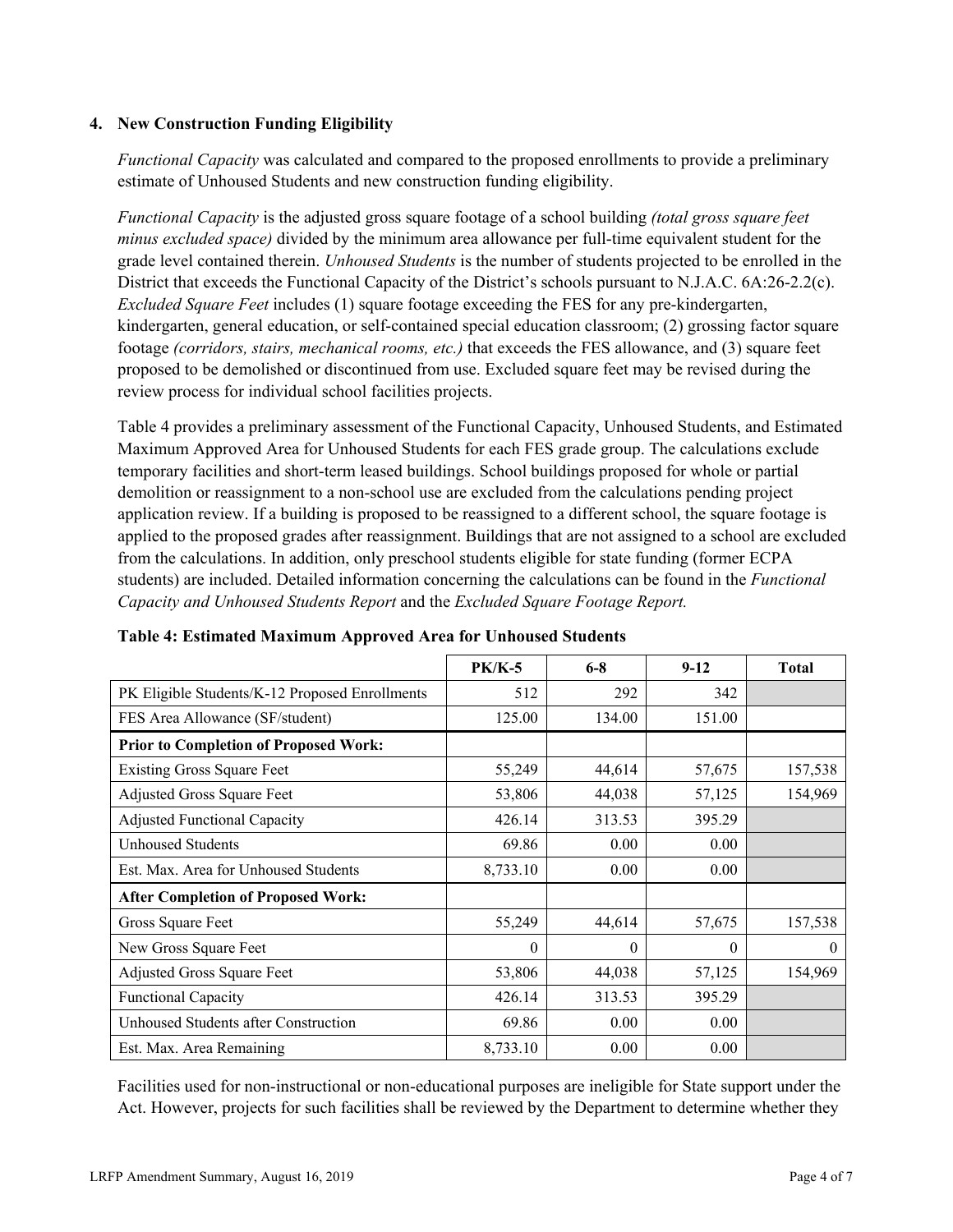### **4. New Construction Funding Eligibility**

*Functional Capacity* was calculated and compared to the proposed enrollments to provide a preliminary estimate of Unhoused Students and new construction funding eligibility.

*Functional Capacity* is the adjusted gross square footage of a school building *(total gross square feet minus excluded space)* divided by the minimum area allowance per full-time equivalent student for the grade level contained therein. *Unhoused Students* is the number of students projected to be enrolled in the District that exceeds the Functional Capacity of the District's schools pursuant to N.J.A.C. 6A:26-2.2(c). *Excluded Square Feet* includes (1) square footage exceeding the FES for any pre-kindergarten, kindergarten, general education, or self-contained special education classroom; (2) grossing factor square footage *(corridors, stairs, mechanical rooms, etc.)* that exceeds the FES allowance, and (3) square feet proposed to be demolished or discontinued from use. Excluded square feet may be revised during the review process for individual school facilities projects.

Table 4 provides a preliminary assessment of the Functional Capacity, Unhoused Students, and Estimated Maximum Approved Area for Unhoused Students for each FES grade group. The calculations exclude temporary facilities and short-term leased buildings. School buildings proposed for whole or partial demolition or reassignment to a non-school use are excluded from the calculations pending project application review. If a building is proposed to be reassigned to a different school, the square footage is applied to the proposed grades after reassignment. Buildings that are not assigned to a school are excluded from the calculations. In addition, only preschool students eligible for state funding (former ECPA students) are included. Detailed information concerning the calculations can be found in the *Functional Capacity and Unhoused Students Report* and the *Excluded Square Footage Report.*

|                                                | <b>PK/K-5</b> | $6 - 8$  | $9-12$   | <b>Total</b> |
|------------------------------------------------|---------------|----------|----------|--------------|
| PK Eligible Students/K-12 Proposed Enrollments | 512           | 292      | 342      |              |
| FES Area Allowance (SF/student)                | 125.00        | 134.00   | 151.00   |              |
| <b>Prior to Completion of Proposed Work:</b>   |               |          |          |              |
| <b>Existing Gross Square Feet</b>              | 55,249        | 44,614   | 57,675   | 157,538      |
| Adjusted Gross Square Feet                     | 53,806        | 44,038   | 57,125   | 154,969      |
| <b>Adjusted Functional Capacity</b>            | 426.14        | 313.53   | 395.29   |              |
| Unhoused Students                              | 69.86         | 0.00     | 0.00     |              |
| Est. Max. Area for Unhoused Students           | 8,733.10      | 0.00     | 0.00     |              |
| <b>After Completion of Proposed Work:</b>      |               |          |          |              |
| Gross Square Feet                              | 55,249        | 44,614   | 57,675   | 157,538      |
| New Gross Square Feet                          | 0             | $\theta$ | $\theta$ | $\theta$     |
| <b>Adjusted Gross Square Feet</b>              | 53,806        | 44,038   | 57,125   | 154,969      |
| <b>Functional Capacity</b>                     | 426.14        | 313.53   | 395.29   |              |
| Unhoused Students after Construction           | 69.86         | 0.00     | 0.00     |              |
| Est. Max. Area Remaining                       | 8,733.10      | 0.00     | 0.00     |              |

### **Table 4: Estimated Maximum Approved Area for Unhoused Students**

Facilities used for non-instructional or non-educational purposes are ineligible for State support under the Act. However, projects for such facilities shall be reviewed by the Department to determine whether they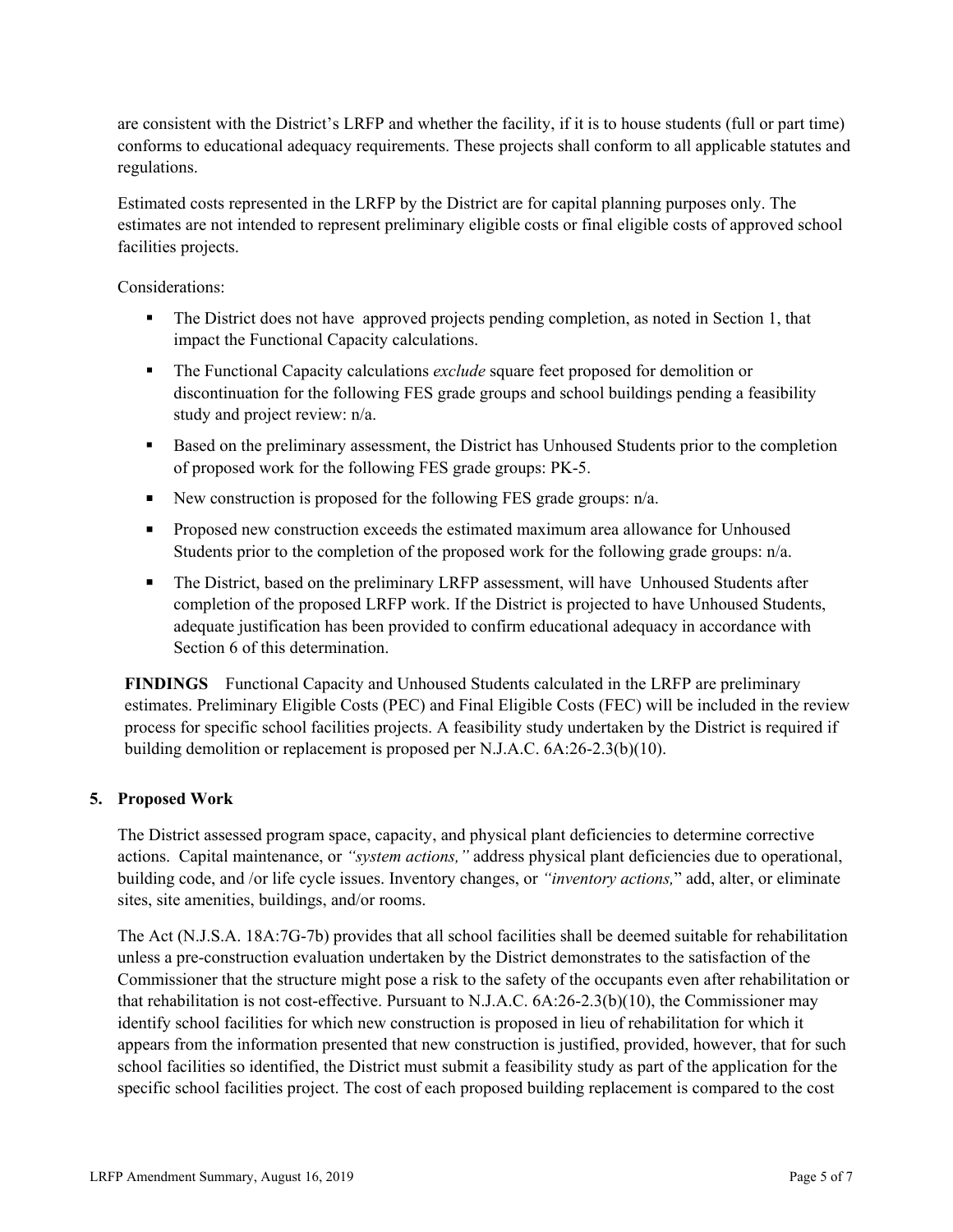are consistent with the District's LRFP and whether the facility, if it is to house students (full or part time) conforms to educational adequacy requirements. These projects shall conform to all applicable statutes and regulations.

Estimated costs represented in the LRFP by the District are for capital planning purposes only. The estimates are not intended to represent preliminary eligible costs or final eligible costs of approved school facilities projects.

Considerations:

- The District does not have approved projects pending completion, as noted in Section 1, that impact the Functional Capacity calculations.
- The Functional Capacity calculations *exclude* square feet proposed for demolition or discontinuation for the following FES grade groups and school buildings pending a feasibility study and project review: n/a.
- Based on the preliminary assessment, the District has Unhoused Students prior to the completion of proposed work for the following FES grade groups: PK-5.
- New construction is proposed for the following FES grade groups:  $n/a$ .
- **Proposed new construction exceeds the estimated maximum area allowance for Unhoused** Students prior to the completion of the proposed work for the following grade groups: n/a.
- The District, based on the preliminary LRFP assessment, will have Unhoused Students after completion of the proposed LRFP work. If the District is projected to have Unhoused Students, adequate justification has been provided to confirm educational adequacy in accordance with Section 6 of this determination.

**FINDINGS** Functional Capacity and Unhoused Students calculated in the LRFP are preliminary estimates. Preliminary Eligible Costs (PEC) and Final Eligible Costs (FEC) will be included in the review process for specific school facilities projects. A feasibility study undertaken by the District is required if building demolition or replacement is proposed per N.J.A.C. 6A:26-2.3(b)(10).

### **5. Proposed Work**

The District assessed program space, capacity, and physical plant deficiencies to determine corrective actions. Capital maintenance, or *"system actions,"* address physical plant deficiencies due to operational, building code, and /or life cycle issues. Inventory changes, or *"inventory actions,*" add, alter, or eliminate sites, site amenities, buildings, and/or rooms.

The Act (N.J.S.A. 18A:7G-7b) provides that all school facilities shall be deemed suitable for rehabilitation unless a pre-construction evaluation undertaken by the District demonstrates to the satisfaction of the Commissioner that the structure might pose a risk to the safety of the occupants even after rehabilitation or that rehabilitation is not cost-effective. Pursuant to N.J.A.C. 6A:26-2.3(b)(10), the Commissioner may identify school facilities for which new construction is proposed in lieu of rehabilitation for which it appears from the information presented that new construction is justified, provided, however, that for such school facilities so identified, the District must submit a feasibility study as part of the application for the specific school facilities project. The cost of each proposed building replacement is compared to the cost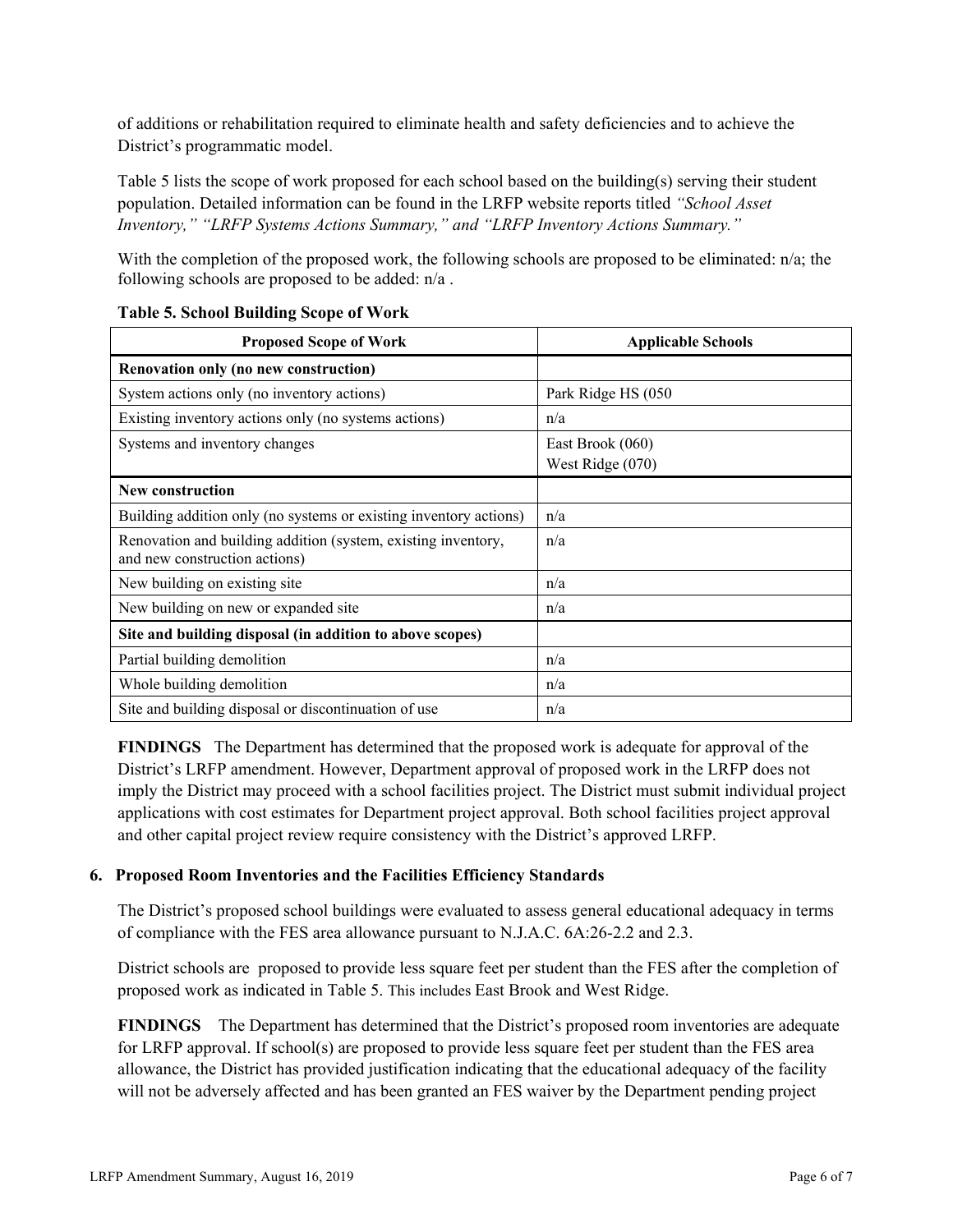of additions or rehabilitation required to eliminate health and safety deficiencies and to achieve the District's programmatic model.

Table 5 lists the scope of work proposed for each school based on the building(s) serving their student population. Detailed information can be found in the LRFP website reports titled *"School Asset Inventory," "LRFP Systems Actions Summary," and "LRFP Inventory Actions Summary."*

With the completion of the proposed work, the following schools are proposed to be eliminated:  $n/a$ ; the following schools are proposed to be added: n/a .

| <b>Proposed Scope of Work</b>                                                                  | <b>Applicable Schools</b>            |
|------------------------------------------------------------------------------------------------|--------------------------------------|
| Renovation only (no new construction)                                                          |                                      |
| System actions only (no inventory actions)                                                     | Park Ridge HS (050                   |
| Existing inventory actions only (no systems actions)                                           | n/a                                  |
| Systems and inventory changes                                                                  | East Brook (060)<br>West Ridge (070) |
| <b>New construction</b>                                                                        |                                      |
| Building addition only (no systems or existing inventory actions)                              | n/a                                  |
| Renovation and building addition (system, existing inventory,<br>and new construction actions) | n/a                                  |
| New building on existing site.                                                                 | n/a                                  |
| New building on new or expanded site                                                           | n/a                                  |
| Site and building disposal (in addition to above scopes)                                       |                                      |
| Partial building demolition                                                                    | n/a                                  |
| Whole building demolition                                                                      | n/a                                  |
| Site and building disposal or discontinuation of use                                           | n/a                                  |

### **Table 5. School Building Scope of Work**

**FINDINGS** The Department has determined that the proposed work is adequate for approval of the District's LRFP amendment. However, Department approval of proposed work in the LRFP does not imply the District may proceed with a school facilities project. The District must submit individual project applications with cost estimates for Department project approval. Both school facilities project approval and other capital project review require consistency with the District's approved LRFP.

# **6. Proposed Room Inventories and the Facilities Efficiency Standards**

The District's proposed school buildings were evaluated to assess general educational adequacy in terms of compliance with the FES area allowance pursuant to N.J.A.C. 6A:26-2.2 and 2.3.

District schools are proposed to provide less square feet per student than the FES after the completion of proposed work as indicated in Table 5. This includes East Brook and West Ridge.

**FINDINGS** The Department has determined that the District's proposed room inventories are adequate for LRFP approval. If school(s) are proposed to provide less square feet per student than the FES area allowance, the District has provided justification indicating that the educational adequacy of the facility will not be adversely affected and has been granted an FES waiver by the Department pending project